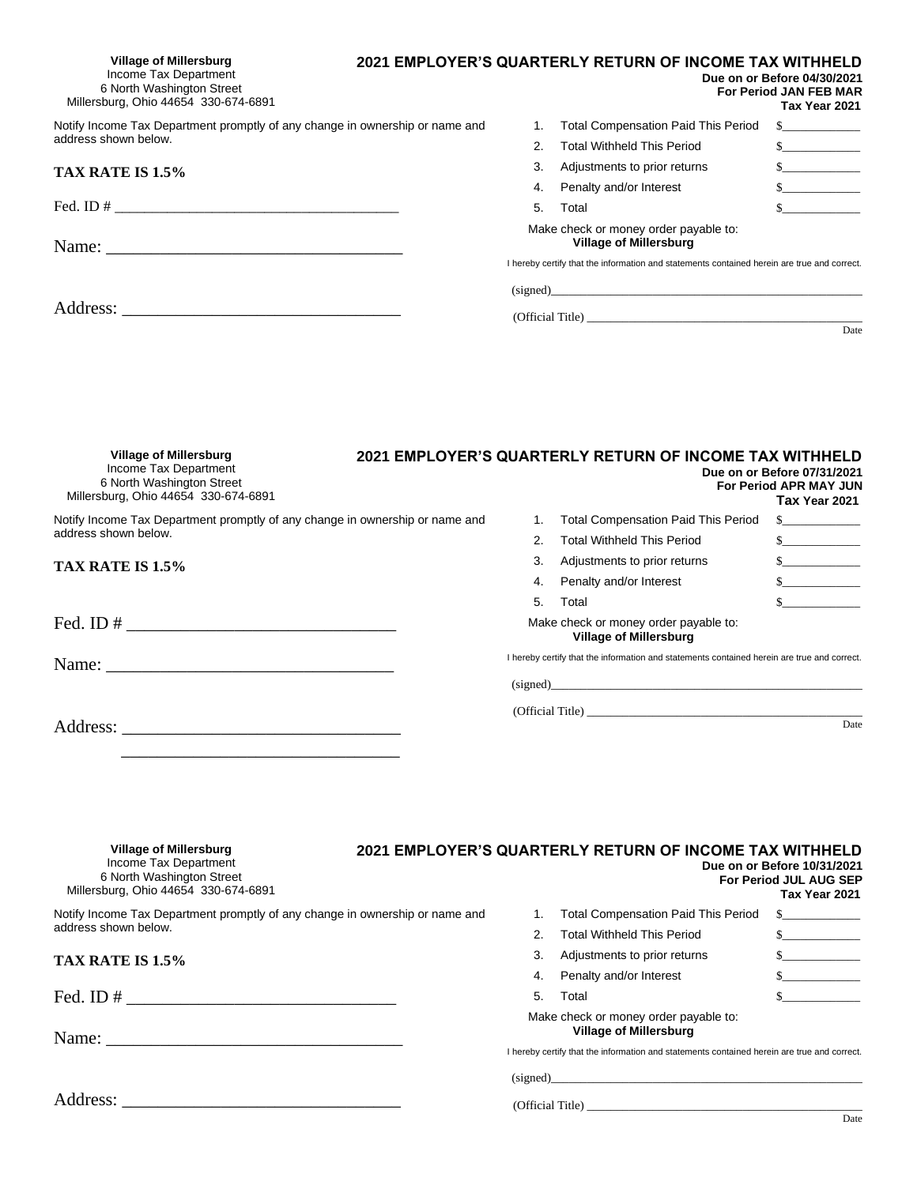| <b>Village of Millersburg</b><br>Income Tax Department<br>6 North Washington Street<br>Millersburg, Ohio 44654 330-674-6891 |    | 2021 EMPLOYER'S QUARTERLY RETURN OF INCOME TAX WITHHELD                                                                     | Due on or Before 04/30/2021<br><b>For Period JAN FEB MAR</b><br>Tax Year 2021 |
|-----------------------------------------------------------------------------------------------------------------------------|----|-----------------------------------------------------------------------------------------------------------------------------|-------------------------------------------------------------------------------|
| Notify Income Tax Department promptly of any change in ownership or name and                                                |    | <b>Total Compensation Paid This Period</b>                                                                                  | $\sim$ $\sim$                                                                 |
| address shown below.                                                                                                        | 2. | <b>Total Withheld This Period</b>                                                                                           | s                                                                             |
| TAX RATE IS 1.5%                                                                                                            | 3. | Adjustments to prior returns                                                                                                | $\sim$                                                                        |
|                                                                                                                             | 4. | Penalty and/or Interest                                                                                                     | $\sim$                                                                        |
|                                                                                                                             | 5. | Total                                                                                                                       | $\mathbb{S}$                                                                  |
| Name:                                                                                                                       |    | Make check or money order payable to:<br><b>Village of Millersburg</b>                                                      |                                                                               |
|                                                                                                                             |    | I hereby certify that the information and statements contained herein are true and correct.<br>(signed)<br>(Official Title) | Date                                                                          |
|                                                                                                                             |    |                                                                                                                             |                                                                               |

| <b>Village of Millersburg</b><br>Income Tax Department<br>6 North Washington Street<br>Millersburg, Ohio 44654 330-674-6891                                                                                                                                                                                                                                                                                                                       |    | 2021 EMPLOYER'S QUARTERLY RETURN OF INCOME TAX WITHHELD                                                                                                                                                                        | Due on or Before 07/31/2021<br><b>For Period APR MAY JUN</b><br>Tax Year 2021 |
|---------------------------------------------------------------------------------------------------------------------------------------------------------------------------------------------------------------------------------------------------------------------------------------------------------------------------------------------------------------------------------------------------------------------------------------------------|----|--------------------------------------------------------------------------------------------------------------------------------------------------------------------------------------------------------------------------------|-------------------------------------------------------------------------------|
| Notify Income Tax Department promptly of any change in ownership or name and                                                                                                                                                                                                                                                                                                                                                                      |    | <b>Total Compensation Paid This Period</b>                                                                                                                                                                                     | $\sim$                                                                        |
| address shown below.                                                                                                                                                                                                                                                                                                                                                                                                                              |    | <b>Total Withheld This Period</b>                                                                                                                                                                                              | $\sim$                                                                        |
| TAX RATE IS 1.5%                                                                                                                                                                                                                                                                                                                                                                                                                                  | 3. | Adjustments to prior returns                                                                                                                                                                                                   | $\sim$                                                                        |
|                                                                                                                                                                                                                                                                                                                                                                                                                                                   | 4. | Penalty and/or Interest                                                                                                                                                                                                        | $\mathbb{S}$                                                                  |
|                                                                                                                                                                                                                                                                                                                                                                                                                                                   | 5. | Total                                                                                                                                                                                                                          | $\mathbb{S}$                                                                  |
|                                                                                                                                                                                                                                                                                                                                                                                                                                                   |    | Make check or money order payable to:<br><b>Village of Millersburg</b>                                                                                                                                                         |                                                                               |
| Name: $\frac{1}{\sqrt{1-\frac{1}{2}} \cdot \frac{1}{\sqrt{1-\frac{1}{2}} \cdot \frac{1}{\sqrt{1-\frac{1}{2}} \cdot \frac{1}{\sqrt{1-\frac{1}{2}} \cdot \frac{1}{\sqrt{1-\frac{1}{2}} \cdot \frac{1}{\sqrt{1-\frac{1}{2}} \cdot \frac{1}{\sqrt{1-\frac{1}{2}} \cdot \frac{1}{\sqrt{1-\frac{1}{2}} \cdot \frac{1}{\sqrt{1-\frac{1}{2}} \cdot \frac{1}{\sqrt{1-\frac{1}{2}} \cdot \frac{1}{\sqrt{1-\frac{1}{2}} \cdot \frac{1}{\sqrt{1-\frac{1}{2}}$ |    | I hereby certify that the information and statements contained herein are true and correct.                                                                                                                                    |                                                                               |
|                                                                                                                                                                                                                                                                                                                                                                                                                                                   |    | (signed) and the contract of the contract of the contract of the contract of the contract of the contract of the contract of the contract of the contract of the contract of the contract of the contract of the contract of t |                                                                               |
| Address:                                                                                                                                                                                                                                                                                                                                                                                                                                          |    | (Official Title)                                                                                                                                                                                                               | Date                                                                          |
|                                                                                                                                                                                                                                                                                                                                                                                                                                                   |    |                                                                                                                                                                                                                                |                                                                               |

 $\overline{\phantom{a}}$  ,  $\overline{\phantom{a}}$  ,  $\overline{\phantom{a}}$  ,  $\overline{\phantom{a}}$  ,  $\overline{\phantom{a}}$  ,  $\overline{\phantom{a}}$  ,  $\overline{\phantom{a}}$  ,  $\overline{\phantom{a}}$  ,  $\overline{\phantom{a}}$  ,  $\overline{\phantom{a}}$  ,  $\overline{\phantom{a}}$  ,  $\overline{\phantom{a}}$  ,  $\overline{\phantom{a}}$  ,  $\overline{\phantom{a}}$  ,  $\overline{\phantom{a}}$  ,  $\overline{\phantom{a}}$ 

| <b>Village of Millersburg</b><br>Income Tax Department<br>6 North Washington Street<br>Millersburg, Ohio 44654 330-674-6891 |  |    | 2021 EMPLOYER'S QUARTERLY RETURN OF INCOME TAX WITHHELD                                                                                                               | Due on or Before 10/31/2021<br><b>For Period JUL AUG SEP</b><br>Tax Year 2021 |
|-----------------------------------------------------------------------------------------------------------------------------|--|----|-----------------------------------------------------------------------------------------------------------------------------------------------------------------------|-------------------------------------------------------------------------------|
| Notify Income Tax Department promptly of any change in ownership or name and                                                |  |    | <b>Total Compensation Paid This Period</b>                                                                                                                            | $\mathbb{S}$                                                                  |
| address shown below.                                                                                                        |  |    | <b>Total Withheld This Period</b>                                                                                                                                     | s                                                                             |
| TAX RATE IS 1.5%                                                                                                            |  | 3. | Adjustments to prior returns                                                                                                                                          | s                                                                             |
|                                                                                                                             |  | 4. | Penalty and/or Interest                                                                                                                                               | $\mathbf{s}$                                                                  |
| Fed. ID $#$                                                                                                                 |  | 5. | Total                                                                                                                                                                 |                                                                               |
|                                                                                                                             |  |    | Make check or money order payable to:<br><b>Village of Millersburg</b><br>I hereby certify that the information and statements contained herein are true and correct. |                                                                               |
|                                                                                                                             |  |    | (signed)                                                                                                                                                              |                                                                               |
|                                                                                                                             |  |    | (Official Title)                                                                                                                                                      | Date                                                                          |